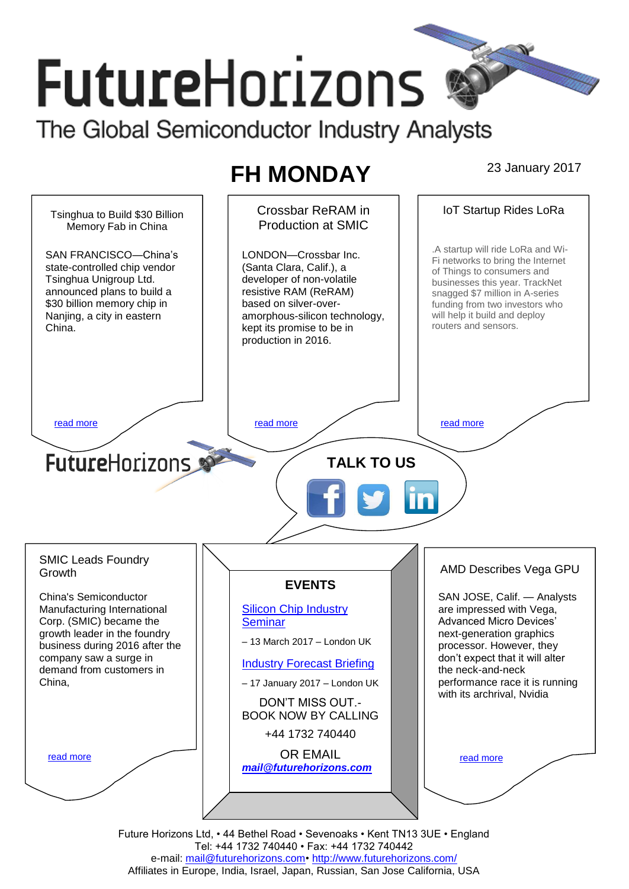# **FutureHorizons** The Global Semiconductor Industry Analysts

## **FH MONDAY** 23 January 2017

Crossbar ReRAM in IoT Startup Rides LoRa Tsinghua to Build \$30 Billion Production at SMIC Memory Fab in China .A startup will ride LoRa and Wi-LONDON—Crossbar Inc. SAN FRANCISCO—China's Fi networks to bring the Internet state-controlled chip vendor (Santa Clara, Calif.), a of Things to consumers and Tsinghua Unigroup Ltd. developer of non-volatile businesses this year. TrackNet announced plans to build a resistive RAM (ReRAM) snagged \$7 million in A-series \$30 billion memory chip in based on silver-overfunding from two investors who will help it build and deploy Nanjing, a city in eastern amorphous-silicon technology, routers and sensors. China. kept its promise to be in production in 2016. [read more](#page-1-1) that the second contract the second contract of the read more that the read more that the read more **Future**Horizons **TALK TO US** SMIC Leads Foundry AMD Describes Vega GPU **Growth EVENTS** China's Semiconductor SAN JOSE, Calif. — Analysts Manufacturing International [Silicon Chip Industry](http://www.futurehorizons.com/page/12/silicon-chip-training)  are impressed with Vega, Corp. (SMIC) became the **[Seminar](http://www.futurehorizons.com/page/12/silicon-chip-training)** Advanced Micro Devices' growth leader in the foundry next-generation graphics – 13 March 2017 – London UK business during 2016 after the processor. However, they company saw a surge in don't expect that it will alter [Industry Forecast Briefing](http://www.futurehorizons.com/page/13/Semiconductor-Market-Forecast-Seminar) demand from customers in the neck-and-neck China,performance race it is running – 17 January 2017 – London UK with its archrival, Nvidia DON'T MISS OUT.- BOOK NOW BY CALLING +44 1732 740440 OR EMAIL [read more](#page-1-3) [read more](#page-1-4) *[mail@futurehorizons.com](mailto:mail@futurehorizons.com)*

Future Horizons Ltd, • 44 Bethel Road • Sevenoaks • Kent TN13 3UE • England Tel: +44 1732 740440 • Fax: +44 1732 740442 e-mail: mail@futurehorizons.com• http://www.futurehorizons.com/ Affiliates in Europe, India, Israel, Japan, Russian, San Jose California, USA